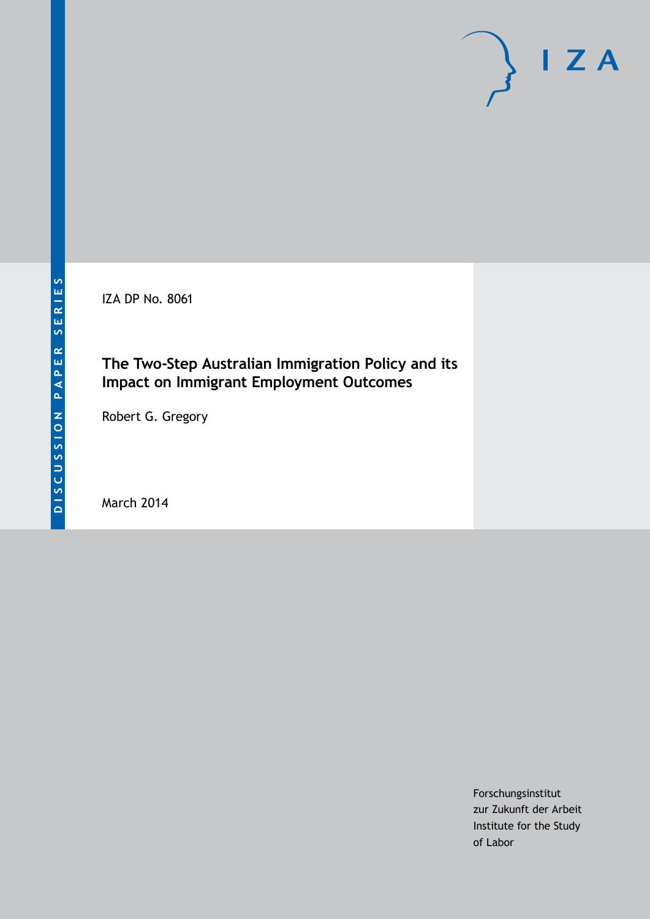IZA DP No. 8061

# **The Two-Step Australian Immigration Policy and its Impact on Immigrant Employment Outcomes**

Robert G. Gregory

March 2014

Forschungsinstitut zur Zukunft der Arbeit Institute for the Study of Labor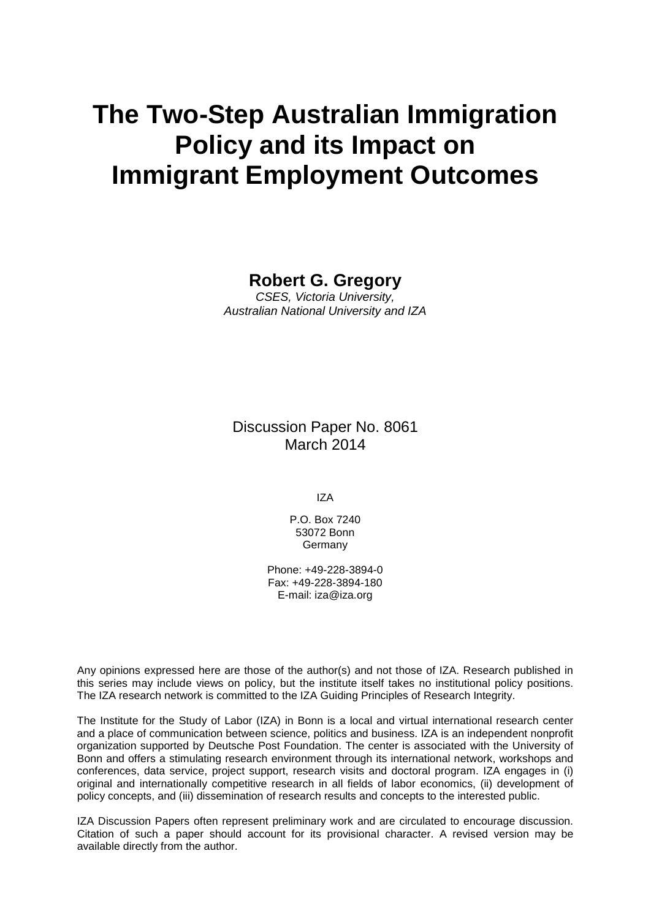# **The Two-Step Australian Immigration Policy and its Impact on Immigrant Employment Outcomes**

# **Robert G. Gregory**

*CSES, Victoria University, Australian National University and IZA*

Discussion Paper No. 8061 March 2014

IZA

P.O. Box 7240 53072 Bonn Germany

Phone: +49-228-3894-0 Fax: +49-228-3894-180 E-mail: [iza@iza.org](mailto:iza@iza.org)

Any opinions expressed here are those of the author(s) and not those of IZA. Research published in this series may include views on policy, but the institute itself takes no institutional policy positions. The IZA research network is committed to the IZA Guiding Principles of Research Integrity.

The Institute for the Study of Labor (IZA) in Bonn is a local and virtual international research center and a place of communication between science, politics and business. IZA is an independent nonprofit organization supported by Deutsche Post Foundation. The center is associated with the University of Bonn and offers a stimulating research environment through its international network, workshops and conferences, data service, project support, research visits and doctoral program. IZA engages in (i) original and internationally competitive research in all fields of labor economics, (ii) development of policy concepts, and (iii) dissemination of research results and concepts to the interested public.

<span id="page-1-0"></span>IZA Discussion Papers often represent preliminary work and are circulated to encourage discussion. Citation of such a paper should account for its provisional character. A revised version may be available directly from the author.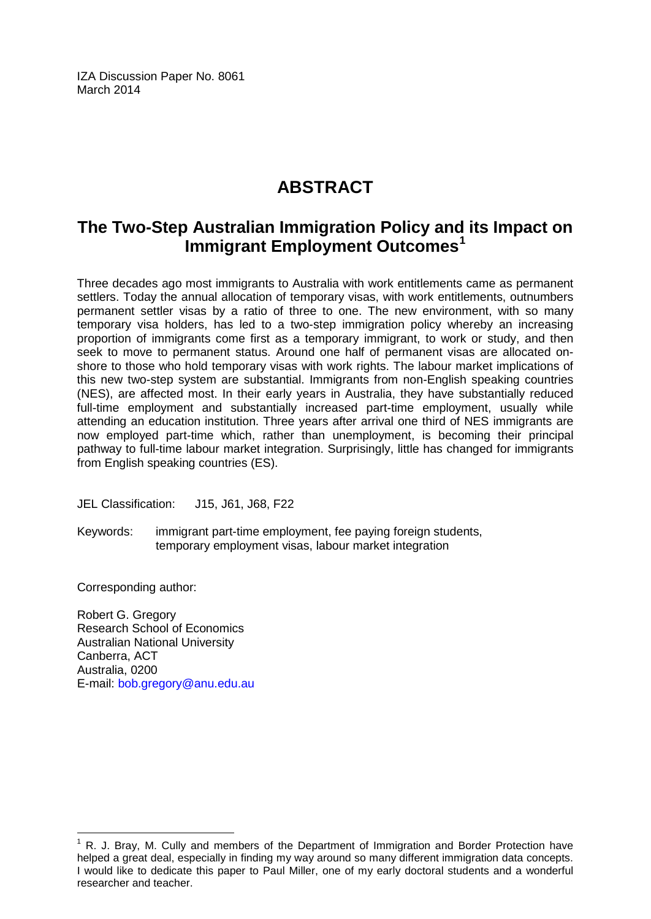IZA Discussion Paper No. 8061 March 2014

# **ABSTRACT**

# **The Two-Step Australian Immigration Policy and its Impact on Immigrant Employment Outcomes[1](#page-1-0)**

Three decades ago most immigrants to Australia with work entitlements came as permanent settlers. Today the annual allocation of temporary visas, with work entitlements, outnumbers permanent settler visas by a ratio of three to one. The new environment, with so many temporary visa holders, has led to a two-step immigration policy whereby an increasing proportion of immigrants come first as a temporary immigrant, to work or study, and then seek to move to permanent status. Around one half of permanent visas are allocated onshore to those who hold temporary visas with work rights. The labour market implications of this new two-step system are substantial. Immigrants from non-English speaking countries (NES), are affected most. In their early years in Australia, they have substantially reduced full-time employment and substantially increased part-time employment, usually while attending an education institution. Three years after arrival one third of NES immigrants are now employed part-time which, rather than unemployment, is becoming their principal pathway to full-time labour market integration. Surprisingly, little has changed for immigrants from English speaking countries (ES).

JEL Classification: J15, J61, J68, F22

Keywords: immigrant part-time employment, fee paying foreign students, temporary employment visas, labour market integration

Corresponding author:

Robert G. Gregory Research School of Economics Australian National University Canberra, ACT Australia, 0200 E-mail: [bob.gregory@anu.edu.au](mailto:bob.gregory@anu.edu.au)

R. J. Bray, M. Cully and members of the Department of Immigration and Border Protection have helped a great deal, especially in finding my way around so many different immigration data concepts. I would like to dedicate this paper to Paul Miller, one of my early doctoral students and a wonderful researcher and teacher.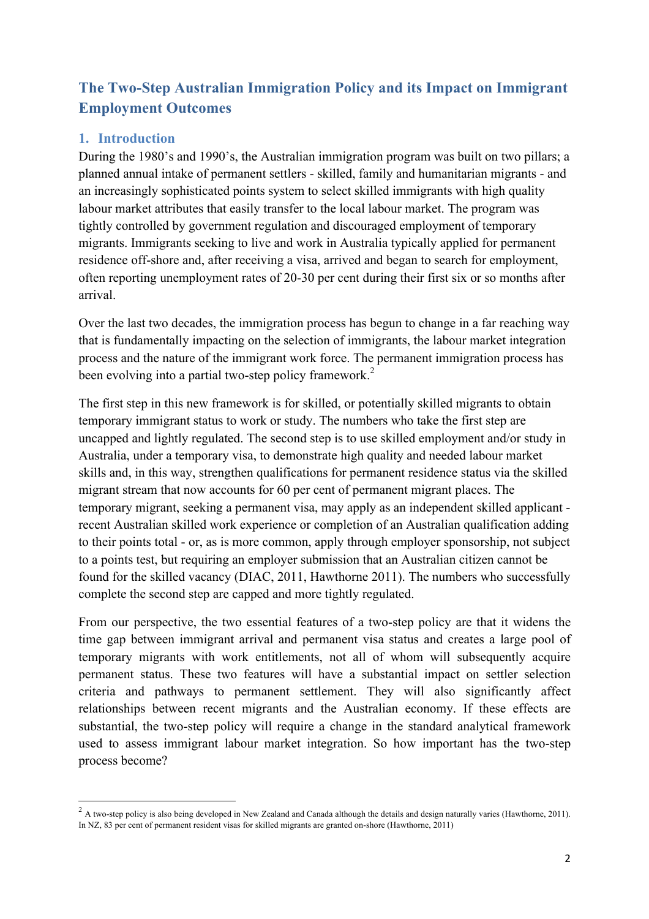# **The Two-Step Australian Immigration Policy and its Impact on Immigrant Employment Outcomes**

### **1. Introduction**

<u> 1989 - Jan Samuel Barbara, político establecido de la provincia de la provincia de la provincia de la provinci</u>

During the 1980's and 1990's, the Australian immigration program was built on two pillars; a planned annual intake of permanent settlers - skilled, family and humanitarian migrants - and an increasingly sophisticated points system to select skilled immigrants with high quality labour market attributes that easily transfer to the local labour market. The program was tightly controlled by government regulation and discouraged employment of temporary migrants. Immigrants seeking to live and work in Australia typically applied for permanent residence off-shore and, after receiving a visa, arrived and began to search for employment, often reporting unemployment rates of 20-30 per cent during their first six or so months after arrival.

Over the last two decades, the immigration process has begun to change in a far reaching way that is fundamentally impacting on the selection of immigrants, the labour market integration process and the nature of the immigrant work force. The permanent immigration process has been evolving into a partial two-step policy framework.<sup>2</sup>

The first step in this new framework is for skilled, or potentially skilled migrants to obtain temporary immigrant status to work or study. The numbers who take the first step are uncapped and lightly regulated. The second step is to use skilled employment and/or study in Australia, under a temporary visa, to demonstrate high quality and needed labour market skills and, in this way, strengthen qualifications for permanent residence status via the skilled migrant stream that now accounts for 60 per cent of permanent migrant places. The temporary migrant, seeking a permanent visa, may apply as an independent skilled applicant recent Australian skilled work experience or completion of an Australian qualification adding to their points total - or, as is more common, apply through employer sponsorship, not subject to a points test, but requiring an employer submission that an Australian citizen cannot be found for the skilled vacancy (DIAC, 2011, Hawthorne 2011). The numbers who successfully complete the second step are capped and more tightly regulated.

From our perspective, the two essential features of a two-step policy are that it widens the time gap between immigrant arrival and permanent visa status and creates a large pool of temporary migrants with work entitlements, not all of whom will subsequently acquire permanent status. These two features will have a substantial impact on settler selection criteria and pathways to permanent settlement. They will also significantly affect relationships between recent migrants and the Australian economy. If these effects are substantial, the two-step policy will require a change in the standard analytical framework used to assess immigrant labour market integration. So how important has the two-step process become?

<sup>&</sup>lt;sup>2</sup> A two-step policy is also being developed in New Zealand and Canada although the details and design naturally varies (Hawthorne, 2011). In NZ, 83 per cent of permanent resident visas for skilled migrants are granted on-shore (Hawthorne, 2011)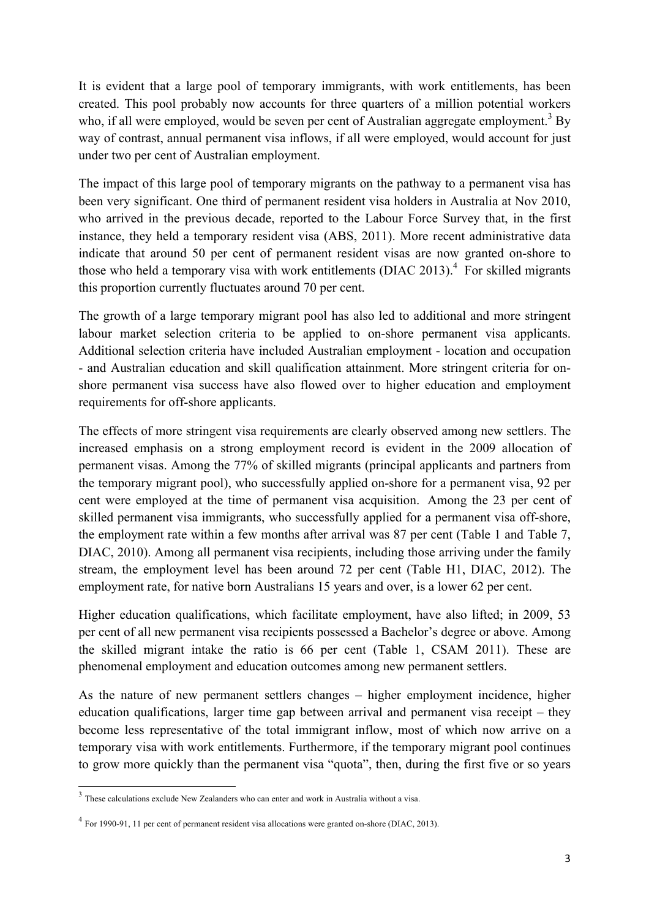It is evident that a large pool of temporary immigrants, with work entitlements, has been created. This pool probably now accounts for three quarters of a million potential workers who, if all were employed, would be seven per cent of Australian aggregate employment.<sup>3</sup> By way of contrast, annual permanent visa inflows, if all were employed, would account for just under two per cent of Australian employment.

The impact of this large pool of temporary migrants on the pathway to a permanent visa has been very significant. One third of permanent resident visa holders in Australia at Nov 2010, who arrived in the previous decade, reported to the Labour Force Survey that, in the first instance, they held a temporary resident visa (ABS, 2011). More recent administrative data indicate that around 50 per cent of permanent resident visas are now granted on-shore to those who held a temporary visa with work entitlements (DIAC 2013).<sup>4</sup> For skilled migrants this proportion currently fluctuates around 70 per cent.

The growth of a large temporary migrant pool has also led to additional and more stringent labour market selection criteria to be applied to on-shore permanent visa applicants. Additional selection criteria have included Australian employment - location and occupation - and Australian education and skill qualification attainment. More stringent criteria for onshore permanent visa success have also flowed over to higher education and employment requirements for off-shore applicants.

The effects of more stringent visa requirements are clearly observed among new settlers. The increased emphasis on a strong employment record is evident in the 2009 allocation of permanent visas. Among the 77% of skilled migrants (principal applicants and partners from the temporary migrant pool), who successfully applied on-shore for a permanent visa, 92 per cent were employed at the time of permanent visa acquisition. Among the 23 per cent of skilled permanent visa immigrants, who successfully applied for a permanent visa off-shore, the employment rate within a few months after arrival was 87 per cent (Table 1 and Table 7, DIAC, 2010). Among all permanent visa recipients, including those arriving under the family stream, the employment level has been around 72 per cent (Table H1, DIAC, 2012). The employment rate, for native born Australians 15 years and over, is a lower 62 per cent.

Higher education qualifications, which facilitate employment, have also lifted; in 2009, 53 per cent of all new permanent visa recipients possessed a Bachelor's degree or above. Among the skilled migrant intake the ratio is 66 per cent (Table 1, CSAM 2011). These are phenomenal employment and education outcomes among new permanent settlers.

As the nature of new permanent settlers changes – higher employment incidence, higher education qualifications, larger time gap between arrival and permanent visa receipt – they become less representative of the total immigrant inflow, most of which now arrive on a temporary visa with work entitlements. Furthermore, if the temporary migrant pool continues to grow more quickly than the permanent visa "quota", then, during the first five or so years

<sup>&</sup>lt;sup>3</sup> These calculations exclude New Zealanders who can enter and work in Australia without a visa.

<sup>4</sup> For 1990-91, 11 per cent of permanent resident visa allocations were granted on-shore (DIAC, 2013).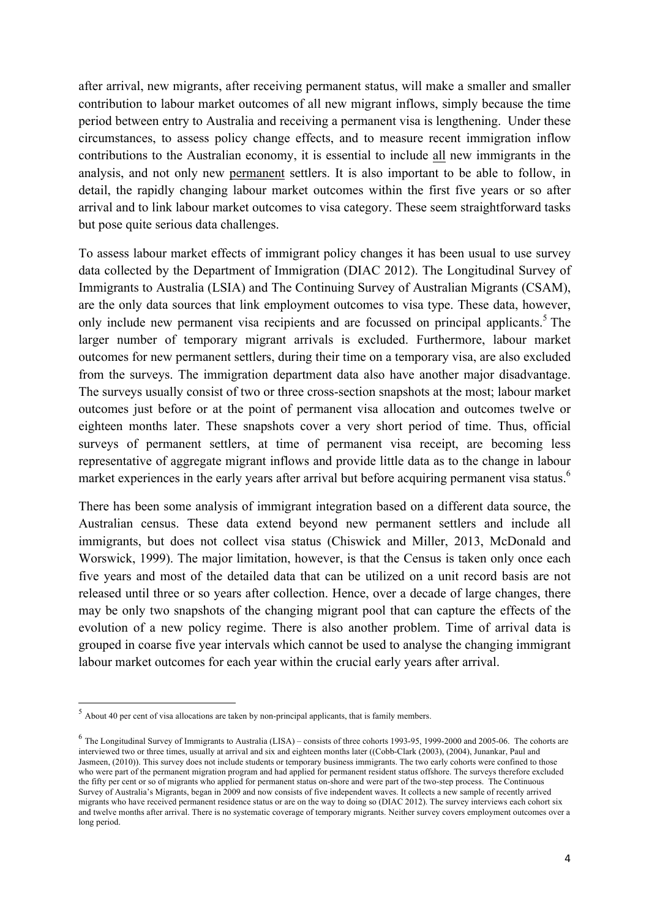after arrival, new migrants, after receiving permanent status, will make a smaller and smaller contribution to labour market outcomes of all new migrant inflows, simply because the time period between entry to Australia and receiving a permanent visa is lengthening. Under these circumstances, to assess policy change effects, and to measure recent immigration inflow contributions to the Australian economy, it is essential to include all new immigrants in the analysis, and not only new permanent settlers. It is also important to be able to follow, in detail, the rapidly changing labour market outcomes within the first five years or so after arrival and to link labour market outcomes to visa category. These seem straightforward tasks but pose quite serious data challenges.

To assess labour market effects of immigrant policy changes it has been usual to use survey data collected by the Department of Immigration (DIAC 2012). The Longitudinal Survey of Immigrants to Australia (LSIA) and The Continuing Survey of Australian Migrants (CSAM), are the only data sources that link employment outcomes to visa type. These data, however, only include new permanent visa recipients and are focussed on principal applicants.<sup>5</sup> The larger number of temporary migrant arrivals is excluded. Furthermore, labour market outcomes for new permanent settlers, during their time on a temporary visa, are also excluded from the surveys. The immigration department data also have another major disadvantage. The surveys usually consist of two or three cross-section snapshots at the most; labour market outcomes just before or at the point of permanent visa allocation and outcomes twelve or eighteen months later. These snapshots cover a very short period of time. Thus, official surveys of permanent settlers, at time of permanent visa receipt, are becoming less representative of aggregate migrant inflows and provide little data as to the change in labour market experiences in the early years after arrival but before acquiring permanent visa status.<sup>6</sup>

There has been some analysis of immigrant integration based on a different data source, the Australian census. These data extend beyond new permanent settlers and include all immigrants, but does not collect visa status (Chiswick and Miller, 2013, McDonald and Worswick, 1999). The major limitation, however, is that the Census is taken only once each five years and most of the detailed data that can be utilized on a unit record basis are not released until three or so years after collection. Hence, over a decade of large changes, there may be only two snapshots of the changing migrant pool that can capture the effects of the evolution of a new policy regime. There is also another problem. Time of arrival data is grouped in coarse five year intervals which cannot be used to analyse the changing immigrant labour market outcomes for each year within the crucial early years after arrival.

<u> 1989 - Jan Samuel Barbara, político establecido de la provincia de la provincia de la provincia de la provinci</u>

<sup>5</sup> About 40 per cent of visa allocations are taken by non-principal applicants, that is family members.

<sup>6</sup> The Longitudinal Survey of Immigrants to Australia (LISA) – consists of three cohorts 1993-95, 1999-2000 and 2005-06. The cohorts are interviewed two or three times, usually at arrival and six and eighteen months later ((Cobb-Clark (2003), (2004), Junankar, Paul and Jasmeen, (2010)). This survey does not include students or temporary business immigrants. The two early cohorts were confined to those who were part of the permanent migration program and had applied for permanent resident status offshore. The surveys therefore excluded the fifty per cent or so of migrants who applied for permanent status on-shore and were part of the two-step process. The Continuous Survey of Australia's Migrants, began in 2009 and now consists of five independent waves. It collects a new sample of recently arrived migrants who have received permanent residence status or are on the way to doing so (DIAC 2012). The survey interviews each cohort six and twelve months after arrival. There is no systematic coverage of temporary migrants. Neither survey covers employment outcomes over a long period.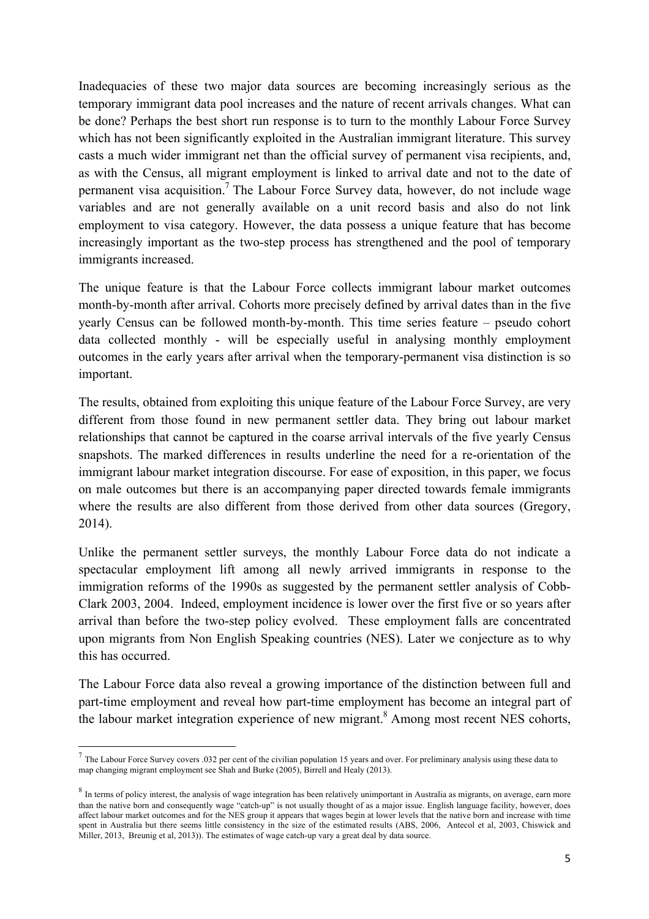Inadequacies of these two major data sources are becoming increasingly serious as the temporary immigrant data pool increases and the nature of recent arrivals changes. What can be done? Perhaps the best short run response is to turn to the monthly Labour Force Survey which has not been significantly exploited in the Australian immigrant literature. This survey casts a much wider immigrant net than the official survey of permanent visa recipients, and, as with the Census, all migrant employment is linked to arrival date and not to the date of permanent visa acquisition.<sup>7</sup> The Labour Force Survey data, however, do not include wage variables and are not generally available on a unit record basis and also do not link employment to visa category. However, the data possess a unique feature that has become increasingly important as the two-step process has strengthened and the pool of temporary immigrants increased.

The unique feature is that the Labour Force collects immigrant labour market outcomes month-by-month after arrival. Cohorts more precisely defined by arrival dates than in the five yearly Census can be followed month-by-month. This time series feature – pseudo cohort data collected monthly - will be especially useful in analysing monthly employment outcomes in the early years after arrival when the temporary-permanent visa distinction is so important.

The results, obtained from exploiting this unique feature of the Labour Force Survey, are very different from those found in new permanent settler data. They bring out labour market relationships that cannot be captured in the coarse arrival intervals of the five yearly Census snapshots. The marked differences in results underline the need for a re-orientation of the immigrant labour market integration discourse. For ease of exposition, in this paper, we focus on male outcomes but there is an accompanying paper directed towards female immigrants where the results are also different from those derived from other data sources (Gregory, 2014).

Unlike the permanent settler surveys, the monthly Labour Force data do not indicate a spectacular employment lift among all newly arrived immigrants in response to the immigration reforms of the 1990s as suggested by the permanent settler analysis of Cobb-Clark 2003, 2004. Indeed, employment incidence is lower over the first five or so years after arrival than before the two-step policy evolved. These employment falls are concentrated upon migrants from Non English Speaking countries (NES). Later we conjecture as to why this has occurred.

The Labour Force data also reveal a growing importance of the distinction between full and part-time employment and reveal how part-time employment has become an integral part of the labour market integration experience of new migrant.<sup>8</sup> Among most recent NES cohorts,

<u> 1989 - Jan Samuel Barbara, político establecido de la provincia de la provincia de la provincia de la provinci</u>

 $<sup>7</sup>$  The Labour Force Survey covers .032 per cent of the civilian population 15 years and over. For preliminary analysis using these data to</sup> map changing migrant employment see Shah and Burke (2005), Birrell and Healy (2013).

<sup>&</sup>lt;sup>8</sup> In terms of policy interest, the analysis of wage integration has been relatively unimportant in Australia as migrants, on average, earn more than the native born and consequently wage "catch-up" is not usually thought of as a major issue. English language facility, however, does affect labour market outcomes and for the NES group it appears that wages begin at lower levels that the native born and increase with time spent in Australia but there seems little consistency in the size of the estimated results (ABS, 2006, Antecol et al, 2003, Chiswick and Miller, 2013, Breunig et al, 2013)). The estimates of wage catch-up vary a great deal by data source.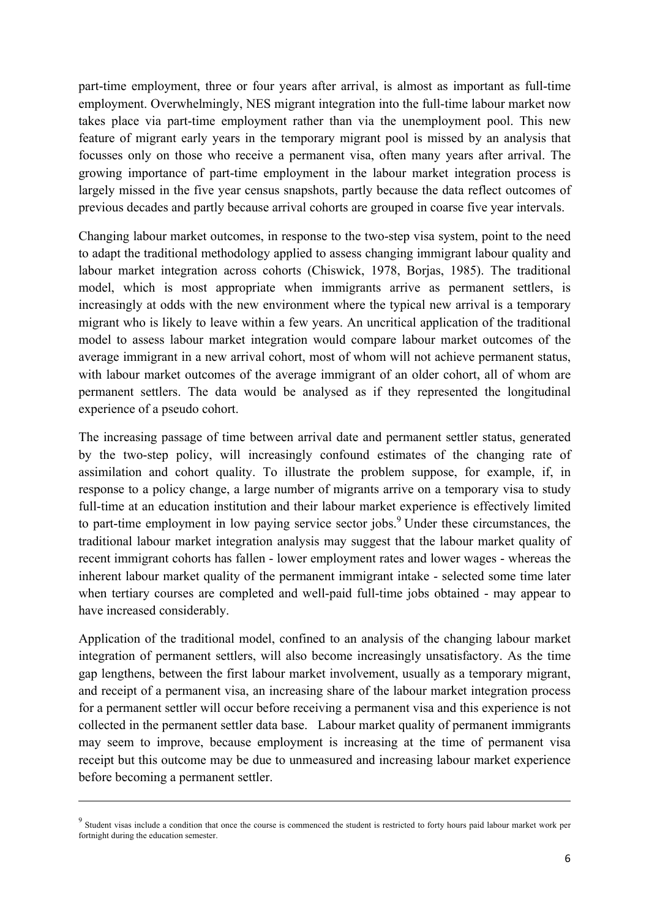part-time employment, three or four years after arrival, is almost as important as full-time employment. Overwhelmingly, NES migrant integration into the full-time labour market now takes place via part-time employment rather than via the unemployment pool. This new feature of migrant early years in the temporary migrant pool is missed by an analysis that focusses only on those who receive a permanent visa, often many years after arrival. The growing importance of part-time employment in the labour market integration process is largely missed in the five year census snapshots, partly because the data reflect outcomes of previous decades and partly because arrival cohorts are grouped in coarse five year intervals.

Changing labour market outcomes, in response to the two-step visa system, point to the need to adapt the traditional methodology applied to assess changing immigrant labour quality and labour market integration across cohorts (Chiswick, 1978, Borjas, 1985). The traditional model, which is most appropriate when immigrants arrive as permanent settlers, is increasingly at odds with the new environment where the typical new arrival is a temporary migrant who is likely to leave within a few years. An uncritical application of the traditional model to assess labour market integration would compare labour market outcomes of the average immigrant in a new arrival cohort, most of whom will not achieve permanent status, with labour market outcomes of the average immigrant of an older cohort, all of whom are permanent settlers. The data would be analysed as if they represented the longitudinal experience of a pseudo cohort.

The increasing passage of time between arrival date and permanent settler status, generated by the two-step policy, will increasingly confound estimates of the changing rate of assimilation and cohort quality. To illustrate the problem suppose, for example, if, in response to a policy change, a large number of migrants arrive on a temporary visa to study full-time at an education institution and their labour market experience is effectively limited to part-time employment in low paying service sector jobs.<sup>9</sup> Under these circumstances, the traditional labour market integration analysis may suggest that the labour market quality of recent immigrant cohorts has fallen - lower employment rates and lower wages - whereas the inherent labour market quality of the permanent immigrant intake - selected some time later when tertiary courses are completed and well-paid full-time jobs obtained - may appear to have increased considerably.

Application of the traditional model, confined to an analysis of the changing labour market integration of permanent settlers, will also become increasingly unsatisfactory. As the time gap lengthens, between the first labour market involvement, usually as a temporary migrant, and receipt of a permanent visa, an increasing share of the labour market integration process for a permanent settler will occur before receiving a permanent visa and this experience is not collected in the permanent settler data base. Labour market quality of permanent immigrants may seem to improve, because employment is increasing at the time of permanent visa receipt but this outcome may be due to unmeasured and increasing labour market experience before becoming a permanent settler.

<u> 1989 - Andrea Santa Andrea Andrea Andrea Andrea Andrea Andrea Andrea Andrea Andrea Andrea Andrea Andrea Andr</u>

<sup>&</sup>lt;sup>9</sup> Student visas include a condition that once the course is commenced the student is restricted to forty hours paid labour market work per fortnight during the education semester.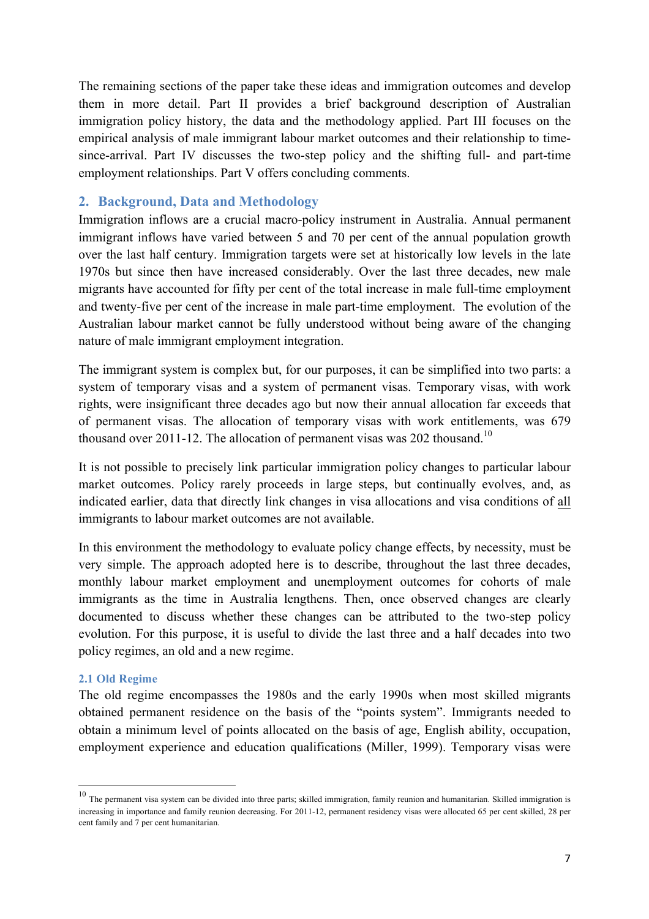The remaining sections of the paper take these ideas and immigration outcomes and develop them in more detail. Part II provides a brief background description of Australian immigration policy history, the data and the methodology applied. Part III focuses on the empirical analysis of male immigrant labour market outcomes and their relationship to timesince-arrival. Part IV discusses the two-step policy and the shifting full- and part-time employment relationships. Part V offers concluding comments.

#### **2. Background, Data and Methodology**

Immigration inflows are a crucial macro-policy instrument in Australia. Annual permanent immigrant inflows have varied between 5 and 70 per cent of the annual population growth over the last half century. Immigration targets were set at historically low levels in the late 1970s but since then have increased considerably. Over the last three decades, new male migrants have accounted for fifty per cent of the total increase in male full-time employment and twenty-five per cent of the increase in male part-time employment. The evolution of the Australian labour market cannot be fully understood without being aware of the changing nature of male immigrant employment integration.

The immigrant system is complex but, for our purposes, it can be simplified into two parts: a system of temporary visas and a system of permanent visas. Temporary visas, with work rights, were insignificant three decades ago but now their annual allocation far exceeds that of permanent visas. The allocation of temporary visas with work entitlements, was 679 thousand over 2011-12. The allocation of permanent visas was 202 thousand.<sup>10</sup>

It is not possible to precisely link particular immigration policy changes to particular labour market outcomes. Policy rarely proceeds in large steps, but continually evolves, and, as indicated earlier, data that directly link changes in visa allocations and visa conditions of all immigrants to labour market outcomes are not available.

In this environment the methodology to evaluate policy change effects, by necessity, must be very simple. The approach adopted here is to describe, throughout the last three decades, monthly labour market employment and unemployment outcomes for cohorts of male immigrants as the time in Australia lengthens. Then, once observed changes are clearly documented to discuss whether these changes can be attributed to the two-step policy evolution. For this purpose, it is useful to divide the last three and a half decades into two policy regimes, an old and a new regime.

#### **2.1 Old Regime**

<u> 1989 - Jan Samuel Barbara, político establecido de la provincia de la provincia de la provincia de la provinci</u>

The old regime encompasses the 1980s and the early 1990s when most skilled migrants obtained permanent residence on the basis of the "points system". Immigrants needed to obtain a minimum level of points allocated on the basis of age, English ability, occupation, employment experience and education qualifications (Miller, 1999). Temporary visas were

 $10$  The permanent visa system can be divided into three parts; skilled immigration, family reunion and humanitarian. Skilled immigration is increasing in importance and family reunion decreasing. For 2011-12, permanent residency visas were allocated 65 per cent skilled, 28 per cent family and 7 per cent humanitarian.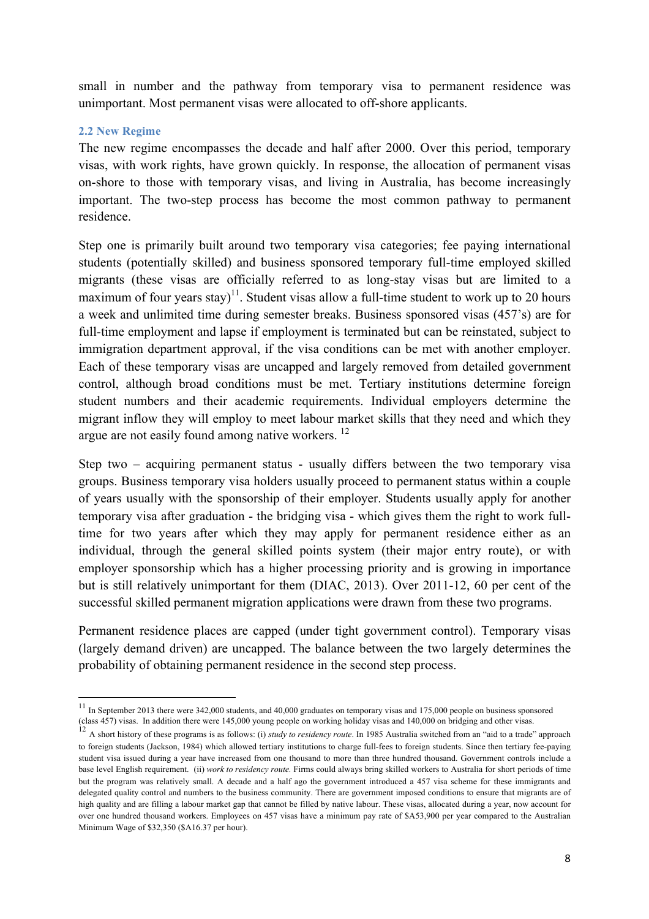small in number and the pathway from temporary visa to permanent residence was unimportant. Most permanent visas were allocated to off-shore applicants.

#### **2.2 New Regime**

<u> 1989 - Jan Samuel Barbara, político establecido de la provincia de la provincia de la provincia de la provinci</u>

The new regime encompasses the decade and half after 2000. Over this period, temporary visas, with work rights, have grown quickly. In response, the allocation of permanent visas on-shore to those with temporary visas, and living in Australia, has become increasingly important. The two-step process has become the most common pathway to permanent residence.

Step one is primarily built around two temporary visa categories; fee paying international students (potentially skilled) and business sponsored temporary full-time employed skilled migrants (these visas are officially referred to as long-stay visas but are limited to a maximum of four years stay)<sup>11</sup>. Student visas allow a full-time student to work up to 20 hours a week and unlimited time during semester breaks. Business sponsored visas (457's) are for full-time employment and lapse if employment is terminated but can be reinstated, subject to immigration department approval, if the visa conditions can be met with another employer. Each of these temporary visas are uncapped and largely removed from detailed government control, although broad conditions must be met. Tertiary institutions determine foreign student numbers and their academic requirements. Individual employers determine the migrant inflow they will employ to meet labour market skills that they need and which they argue are not easily found among native workers.<sup>12</sup>

Step two – acquiring permanent status - usually differs between the two temporary visa groups. Business temporary visa holders usually proceed to permanent status within a couple of years usually with the sponsorship of their employer. Students usually apply for another temporary visa after graduation - the bridging visa - which gives them the right to work fulltime for two years after which they may apply for permanent residence either as an individual, through the general skilled points system (their major entry route), or with employer sponsorship which has a higher processing priority and is growing in importance but is still relatively unimportant for them (DIAC, 2013). Over 2011-12, 60 per cent of the successful skilled permanent migration applications were drawn from these two programs.

Permanent residence places are capped (under tight government control). Temporary visas (largely demand driven) are uncapped. The balance between the two largely determines the probability of obtaining permanent residence in the second step process.

 $11$  In September 2013 there were 342,000 students, and 40,000 graduates on temporary visas and 175,000 people on business sponsored (class 457) visas. In addition there were 145,000 young people on working holiday visas and 140,000 on bridging and other visas.<br><sup>12</sup> A short history of these programs is as follows: (i) *study to residency route*. In 198

to foreign students (Jackson, 1984) which allowed tertiary institutions to charge full-fees to foreign students. Since then tertiary fee-paying student visa issued during a year have increased from one thousand to more than three hundred thousand. Government controls include a base level English requirement. (ii) *work to residency route.* Firms could always bring skilled workers to Australia for short periods of time but the program was relatively small. A decade and a half ago the government introduced a 457 visa scheme for these immigrants and delegated quality control and numbers to the business community. There are government imposed conditions to ensure that migrants are of high quality and are filling a labour market gap that cannot be filled by native labour. These visas, allocated during a year, now account for over one hundred thousand workers. Employees on 457 visas have a minimum pay rate of \$A53,900 per year compared to the Australian Minimum Wage of \$32,350 (\$A16.37 per hour).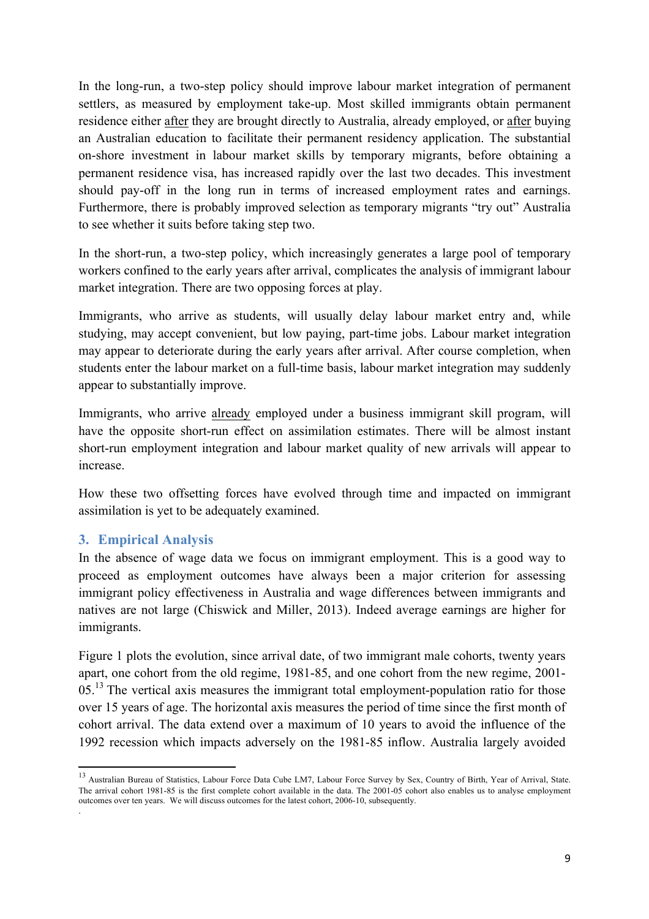In the long-run, a two-step policy should improve labour market integration of permanent settlers, as measured by employment take-up. Most skilled immigrants obtain permanent residence either after they are brought directly to Australia, already employed, or after buying an Australian education to facilitate their permanent residency application. The substantial on-shore investment in labour market skills by temporary migrants, before obtaining a permanent residence visa, has increased rapidly over the last two decades. This investment should pay-off in the long run in terms of increased employment rates and earnings. Furthermore, there is probably improved selection as temporary migrants "try out" Australia to see whether it suits before taking step two.

In the short-run, a two-step policy, which increasingly generates a large pool of temporary workers confined to the early years after arrival, complicates the analysis of immigrant labour market integration. There are two opposing forces at play.

Immigrants, who arrive as students, will usually delay labour market entry and, while studying, may accept convenient, but low paying, part-time jobs. Labour market integration may appear to deteriorate during the early years after arrival. After course completion, when students enter the labour market on a full-time basis, labour market integration may suddenly appear to substantially improve.

Immigrants, who arrive already employed under a business immigrant skill program, will have the opposite short-run effect on assimilation estimates. There will be almost instant short-run employment integration and labour market quality of new arrivals will appear to increase.

How these two offsetting forces have evolved through time and impacted on immigrant assimilation is yet to be adequately examined.

### **3. Empirical Analysis**

<u> 1989 - Jan Samuel Barbara, político establecido de la provincia de la provincia de la provincia de la provinci</u>

In the absence of wage data we focus on immigrant employment. This is a good way to proceed as employment outcomes have always been a major criterion for assessing immigrant policy effectiveness in Australia and wage differences between immigrants and natives are not large (Chiswick and Miller, 2013). Indeed average earnings are higher for immigrants.

Figure 1 plots the evolution, since arrival date, of two immigrant male cohorts, twenty years apart, one cohort from the old regime, 1981-85, and one cohort from the new regime, 2001- 05.<sup>13</sup> The vertical axis measures the immigrant total employment-population ratio for those over 15 years of age. The horizontal axis measures the period of time since the first month of cohort arrival. The data extend over a maximum of 10 years to avoid the influence of the 1992 recession which impacts adversely on the 1981-85 inflow. Australia largely avoided

<sup>&</sup>lt;sup>13</sup> Australian Bureau of Statistics, Labour Force Data Cube LM7, Labour Force Survey by Sex, Country of Birth, Year of Arrival, State. The arrival cohort 1981-85 is the first complete cohort available in the data. The 2001-05 cohort also enables us to analyse employment outcomes over ten years. We will discuss outcomes for the latest cohort, 2006-10, subsequently. .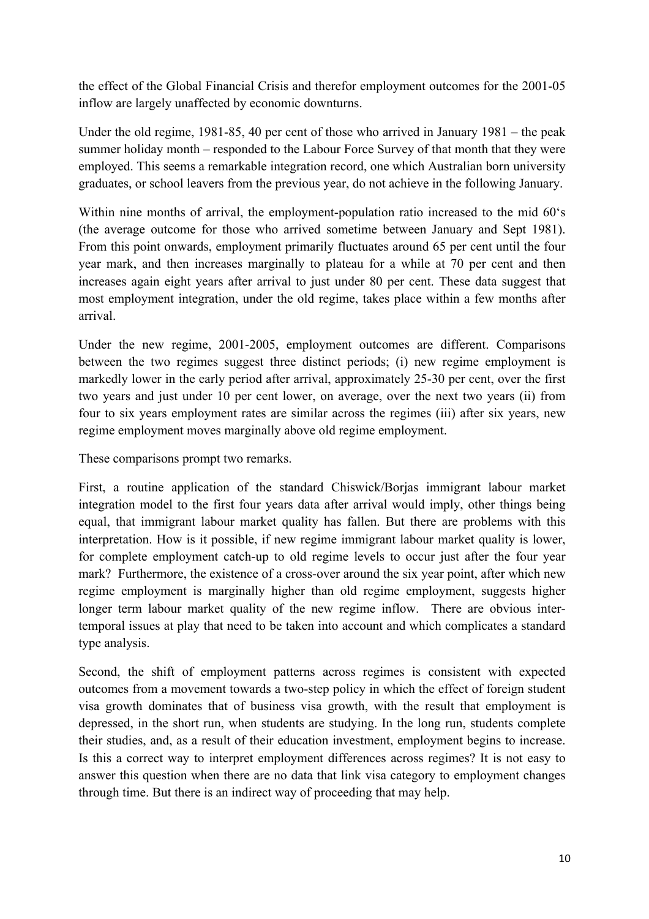the effect of the Global Financial Crisis and therefor employment outcomes for the 2001-05 inflow are largely unaffected by economic downturns.

Under the old regime, 1981-85, 40 per cent of those who arrived in January 1981 – the peak summer holiday month – responded to the Labour Force Survey of that month that they were employed. This seems a remarkable integration record, one which Australian born university graduates, or school leavers from the previous year, do not achieve in the following January.

Within nine months of arrival, the employment-population ratio increased to the mid 60's (the average outcome for those who arrived sometime between January and Sept 1981). From this point onwards, employment primarily fluctuates around 65 per cent until the four year mark, and then increases marginally to plateau for a while at 70 per cent and then increases again eight years after arrival to just under 80 per cent. These data suggest that most employment integration, under the old regime, takes place within a few months after arrival.

Under the new regime, 2001-2005, employment outcomes are different. Comparisons between the two regimes suggest three distinct periods; (i) new regime employment is markedly lower in the early period after arrival, approximately 25-30 per cent, over the first two years and just under 10 per cent lower, on average, over the next two years (ii) from four to six years employment rates are similar across the regimes (iii) after six years, new regime employment moves marginally above old regime employment.

These comparisons prompt two remarks.

First, a routine application of the standard Chiswick/Borjas immigrant labour market integration model to the first four years data after arrival would imply, other things being equal, that immigrant labour market quality has fallen. But there are problems with this interpretation. How is it possible, if new regime immigrant labour market quality is lower, for complete employment catch-up to old regime levels to occur just after the four year mark? Furthermore, the existence of a cross-over around the six year point, after which new regime employment is marginally higher than old regime employment, suggests higher longer term labour market quality of the new regime inflow. There are obvious intertemporal issues at play that need to be taken into account and which complicates a standard type analysis.

Second, the shift of employment patterns across regimes is consistent with expected outcomes from a movement towards a two-step policy in which the effect of foreign student visa growth dominates that of business visa growth, with the result that employment is depressed, in the short run, when students are studying. In the long run, students complete their studies, and, as a result of their education investment, employment begins to increase. Is this a correct way to interpret employment differences across regimes? It is not easy to answer this question when there are no data that link visa category to employment changes through time. But there is an indirect way of proceeding that may help.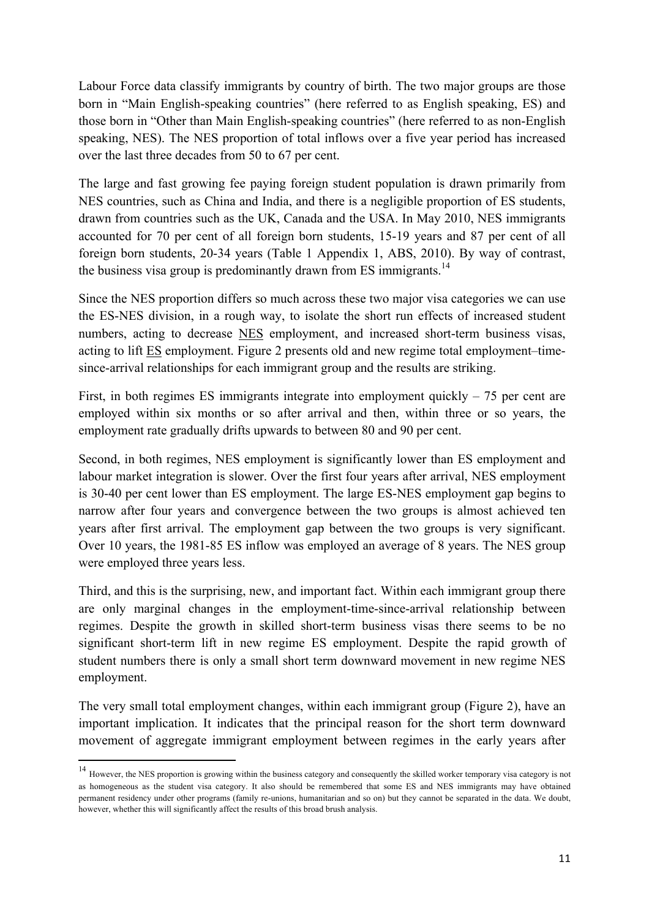Labour Force data classify immigrants by country of birth. The two major groups are those born in "Main English-speaking countries" (here referred to as English speaking, ES) and those born in "Other than Main English-speaking countries" (here referred to as non-English speaking, NES). The NES proportion of total inflows over a five year period has increased over the last three decades from 50 to 67 per cent.

The large and fast growing fee paying foreign student population is drawn primarily from NES countries, such as China and India, and there is a negligible proportion of ES students, drawn from countries such as the UK, Canada and the USA. In May 2010, NES immigrants accounted for 70 per cent of all foreign born students, 15-19 years and 87 per cent of all foreign born students, 20-34 years (Table 1 Appendix 1, ABS, 2010). By way of contrast, the business visa group is predominantly drawn from ES immigrants.<sup>14</sup>

Since the NES proportion differs so much across these two major visa categories we can use the ES-NES division, in a rough way, to isolate the short run effects of increased student numbers, acting to decrease NES employment, and increased short-term business visas, acting to lift ES employment. Figure 2 presents old and new regime total employment–timesince-arrival relationships for each immigrant group and the results are striking.

First, in both regimes ES immigrants integrate into employment quickly – 75 per cent are employed within six months or so after arrival and then, within three or so years, the employment rate gradually drifts upwards to between 80 and 90 per cent.

Second, in both regimes, NES employment is significantly lower than ES employment and labour market integration is slower. Over the first four years after arrival, NES employment is 30-40 per cent lower than ES employment. The large ES-NES employment gap begins to narrow after four years and convergence between the two groups is almost achieved ten years after first arrival. The employment gap between the two groups is very significant. Over 10 years, the 1981-85 ES inflow was employed an average of 8 years. The NES group were employed three years less.

Third, and this is the surprising, new, and important fact. Within each immigrant group there are only marginal changes in the employment-time-since-arrival relationship between regimes. Despite the growth in skilled short-term business visas there seems to be no significant short-term lift in new regime ES employment. Despite the rapid growth of student numbers there is only a small short term downward movement in new regime NES employment.

The very small total employment changes, within each immigrant group (Figure 2), have an important implication. It indicates that the principal reason for the short term downward movement of aggregate immigrant employment between regimes in the early years after

<u> 1989 - Jan Samuel Barbara, político establecido de la provincia de la provincia de la provincia de la provinci</u>

<sup>&</sup>lt;sup>14</sup> However, the NES proportion is growing within the business category and consequently the skilled worker temporary visa category is not as homogeneous as the student visa category. It also should be remembered that some ES and NES immigrants may have obtained permanent residency under other programs (family re-unions, humanitarian and so on) but they cannot be separated in the data. We doubt, however, whether this will significantly affect the results of this broad brush analysis.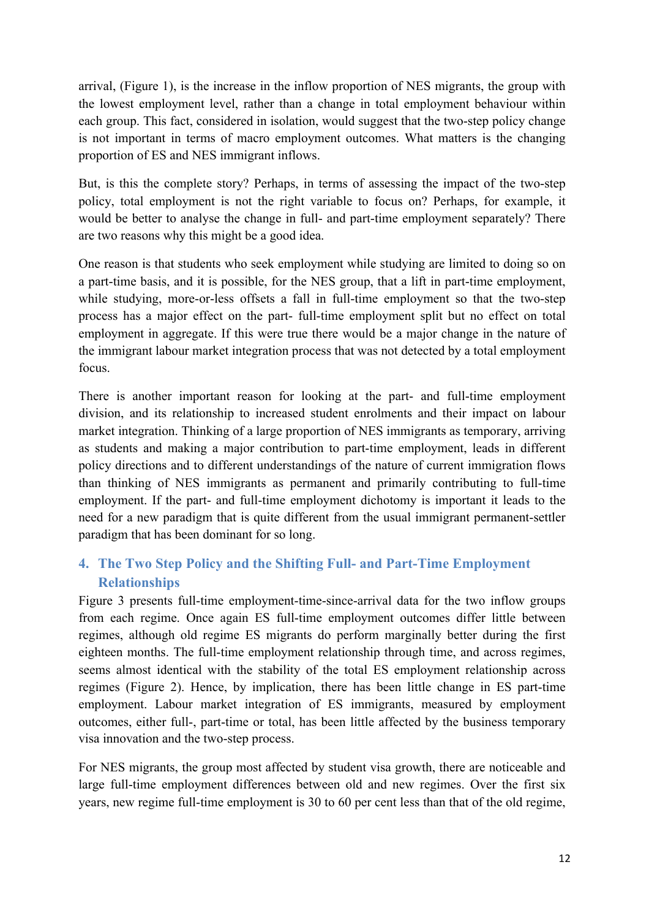arrival, (Figure 1), is the increase in the inflow proportion of NES migrants, the group with the lowest employment level, rather than a change in total employment behaviour within each group. This fact, considered in isolation, would suggest that the two-step policy change is not important in terms of macro employment outcomes. What matters is the changing proportion of ES and NES immigrant inflows.

But, is this the complete story? Perhaps, in terms of assessing the impact of the two-step policy, total employment is not the right variable to focus on? Perhaps, for example, it would be better to analyse the change in full- and part-time employment separately? There are two reasons why this might be a good idea.

One reason is that students who seek employment while studying are limited to doing so on a part-time basis, and it is possible, for the NES group, that a lift in part-time employment, while studying, more-or-less offsets a fall in full-time employment so that the two-step process has a major effect on the part- full-time employment split but no effect on total employment in aggregate. If this were true there would be a major change in the nature of the immigrant labour market integration process that was not detected by a total employment focus.

There is another important reason for looking at the part- and full-time employment division, and its relationship to increased student enrolments and their impact on labour market integration. Thinking of a large proportion of NES immigrants as temporary, arriving as students and making a major contribution to part-time employment, leads in different policy directions and to different understandings of the nature of current immigration flows than thinking of NES immigrants as permanent and primarily contributing to full-time employment. If the part- and full-time employment dichotomy is important it leads to the need for a new paradigm that is quite different from the usual immigrant permanent-settler paradigm that has been dominant for so long.

## **4. The Two Step Policy and the Shifting Full- and Part-Time Employment Relationships**

Figure 3 presents full-time employment-time-since-arrival data for the two inflow groups from each regime. Once again ES full-time employment outcomes differ little between regimes, although old regime ES migrants do perform marginally better during the first eighteen months. The full-time employment relationship through time, and across regimes, seems almost identical with the stability of the total ES employment relationship across regimes (Figure 2). Hence, by implication, there has been little change in ES part-time employment. Labour market integration of ES immigrants, measured by employment outcomes, either full-, part-time or total, has been little affected by the business temporary visa innovation and the two-step process.

For NES migrants, the group most affected by student visa growth, there are noticeable and large full-time employment differences between old and new regimes. Over the first six years, new regime full-time employment is 30 to 60 per cent less than that of the old regime,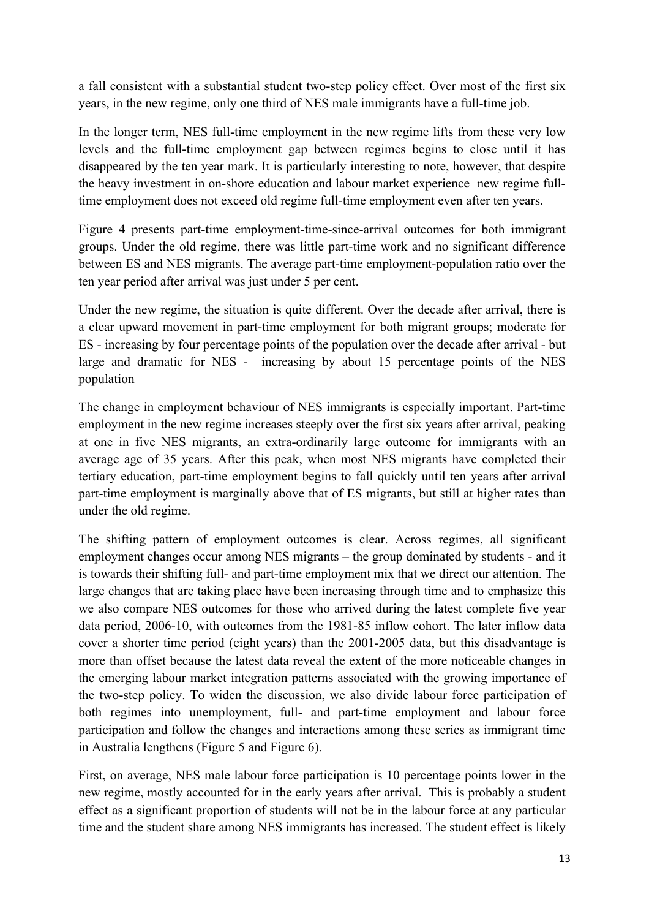a fall consistent with a substantial student two-step policy effect. Over most of the first six years, in the new regime, only one third of NES male immigrants have a full-time job.

In the longer term, NES full-time employment in the new regime lifts from these very low levels and the full-time employment gap between regimes begins to close until it has disappeared by the ten year mark. It is particularly interesting to note, however, that despite the heavy investment in on-shore education and labour market experience new regime fulltime employment does not exceed old regime full-time employment even after ten years.

Figure 4 presents part-time employment-time-since-arrival outcomes for both immigrant groups. Under the old regime, there was little part-time work and no significant difference between ES and NES migrants. The average part-time employment-population ratio over the ten year period after arrival was just under 5 per cent.

Under the new regime, the situation is quite different. Over the decade after arrival, there is a clear upward movement in part-time employment for both migrant groups; moderate for ES - increasing by four percentage points of the population over the decade after arrival - but large and dramatic for NES - increasing by about 15 percentage points of the NES population

The change in employment behaviour of NES immigrants is especially important. Part-time employment in the new regime increases steeply over the first six years after arrival, peaking at one in five NES migrants, an extra-ordinarily large outcome for immigrants with an average age of 35 years. After this peak, when most NES migrants have completed their tertiary education, part-time employment begins to fall quickly until ten years after arrival part-time employment is marginally above that of ES migrants, but still at higher rates than under the old regime.

The shifting pattern of employment outcomes is clear. Across regimes, all significant employment changes occur among NES migrants – the group dominated by students - and it is towards their shifting full- and part-time employment mix that we direct our attention. The large changes that are taking place have been increasing through time and to emphasize this we also compare NES outcomes for those who arrived during the latest complete five year data period, 2006-10, with outcomes from the 1981-85 inflow cohort. The later inflow data cover a shorter time period (eight years) than the 2001-2005 data, but this disadvantage is more than offset because the latest data reveal the extent of the more noticeable changes in the emerging labour market integration patterns associated with the growing importance of the two-step policy. To widen the discussion, we also divide labour force participation of both regimes into unemployment, full- and part-time employment and labour force participation and follow the changes and interactions among these series as immigrant time in Australia lengthens (Figure 5 and Figure 6).

First, on average, NES male labour force participation is 10 percentage points lower in the new regime, mostly accounted for in the early years after arrival. This is probably a student effect as a significant proportion of students will not be in the labour force at any particular time and the student share among NES immigrants has increased. The student effect is likely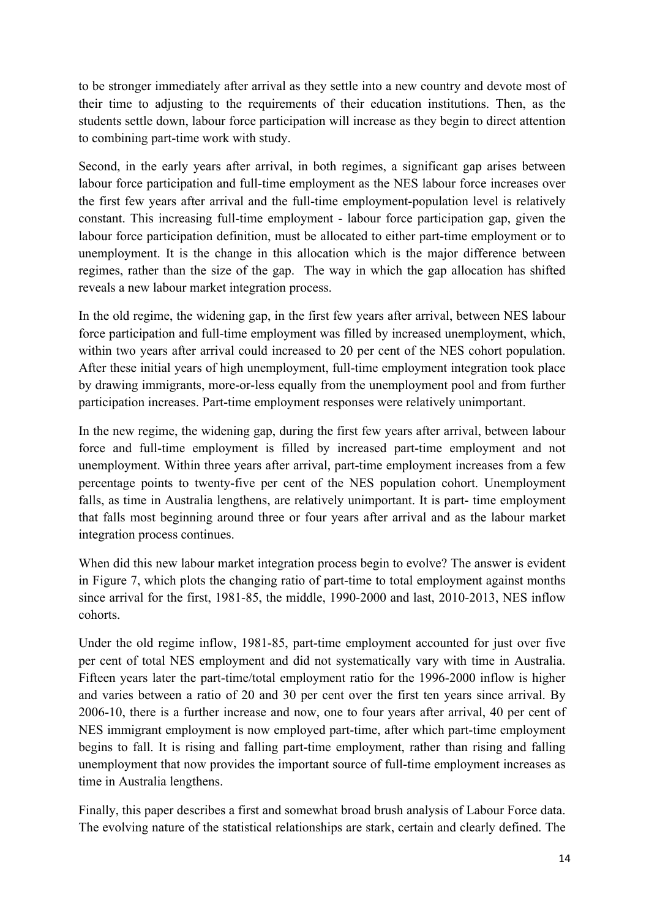to be stronger immediately after arrival as they settle into a new country and devote most of their time to adjusting to the requirements of their education institutions. Then, as the students settle down, labour force participation will increase as they begin to direct attention to combining part-time work with study.

Second, in the early years after arrival, in both regimes, a significant gap arises between labour force participation and full-time employment as the NES labour force increases over the first few years after arrival and the full-time employment-population level is relatively constant. This increasing full-time employment - labour force participation gap, given the labour force participation definition, must be allocated to either part-time employment or to unemployment. It is the change in this allocation which is the major difference between regimes, rather than the size of the gap. The way in which the gap allocation has shifted reveals a new labour market integration process.

In the old regime, the widening gap, in the first few years after arrival, between NES labour force participation and full-time employment was filled by increased unemployment, which, within two years after arrival could increased to 20 per cent of the NES cohort population. After these initial years of high unemployment, full-time employment integration took place by drawing immigrants, more-or-less equally from the unemployment pool and from further participation increases. Part-time employment responses were relatively unimportant.

In the new regime, the widening gap, during the first few years after arrival, between labour force and full-time employment is filled by increased part-time employment and not unemployment. Within three years after arrival, part-time employment increases from a few percentage points to twenty-five per cent of the NES population cohort. Unemployment falls, as time in Australia lengthens, are relatively unimportant. It is part- time employment that falls most beginning around three or four years after arrival and as the labour market integration process continues.

When did this new labour market integration process begin to evolve? The answer is evident in Figure 7, which plots the changing ratio of part-time to total employment against months since arrival for the first, 1981-85, the middle, 1990-2000 and last, 2010-2013, NES inflow cohorts.

Under the old regime inflow, 1981-85, part-time employment accounted for just over five per cent of total NES employment and did not systematically vary with time in Australia. Fifteen years later the part-time/total employment ratio for the 1996-2000 inflow is higher and varies between a ratio of 20 and 30 per cent over the first ten years since arrival. By 2006-10, there is a further increase and now, one to four years after arrival, 40 per cent of NES immigrant employment is now employed part-time, after which part-time employment begins to fall. It is rising and falling part-time employment, rather than rising and falling unemployment that now provides the important source of full-time employment increases as time in Australia lengthens.

Finally, this paper describes a first and somewhat broad brush analysis of Labour Force data. The evolving nature of the statistical relationships are stark, certain and clearly defined. The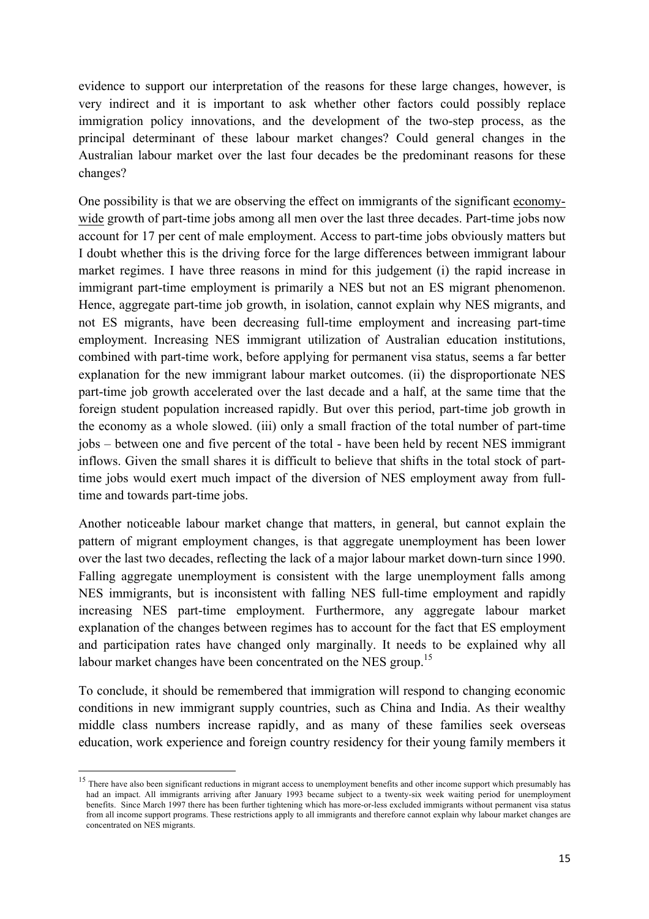evidence to support our interpretation of the reasons for these large changes, however, is very indirect and it is important to ask whether other factors could possibly replace immigration policy innovations, and the development of the two-step process, as the principal determinant of these labour market changes? Could general changes in the Australian labour market over the last four decades be the predominant reasons for these changes?

One possibility is that we are observing the effect on immigrants of the significant economywide growth of part-time jobs among all men over the last three decades. Part-time jobs now account for 17 per cent of male employment. Access to part-time jobs obviously matters but I doubt whether this is the driving force for the large differences between immigrant labour market regimes. I have three reasons in mind for this judgement (i) the rapid increase in immigrant part-time employment is primarily a NES but not an ES migrant phenomenon. Hence, aggregate part-time job growth, in isolation, cannot explain why NES migrants, and not ES migrants, have been decreasing full-time employment and increasing part-time employment. Increasing NES immigrant utilization of Australian education institutions, combined with part-time work, before applying for permanent visa status, seems a far better explanation for the new immigrant labour market outcomes. (ii) the disproportionate NES part-time job growth accelerated over the last decade and a half, at the same time that the foreign student population increased rapidly. But over this period, part-time job growth in the economy as a whole slowed. (iii) only a small fraction of the total number of part-time jobs – between one and five percent of the total - have been held by recent NES immigrant inflows. Given the small shares it is difficult to believe that shifts in the total stock of parttime jobs would exert much impact of the diversion of NES employment away from fulltime and towards part-time jobs.

Another noticeable labour market change that matters, in general, but cannot explain the pattern of migrant employment changes, is that aggregate unemployment has been lower over the last two decades, reflecting the lack of a major labour market down-turn since 1990. Falling aggregate unemployment is consistent with the large unemployment falls among NES immigrants, but is inconsistent with falling NES full-time employment and rapidly increasing NES part-time employment. Furthermore, any aggregate labour market explanation of the changes between regimes has to account for the fact that ES employment and participation rates have changed only marginally. It needs to be explained why all labour market changes have been concentrated on the NES group.<sup>15</sup>

To conclude, it should be remembered that immigration will respond to changing economic conditions in new immigrant supply countries, such as China and India. As their wealthy middle class numbers increase rapidly, and as many of these families seek overseas education, work experience and foreign country residency for their young family members it

 

<sup>&</sup>lt;sup>15</sup> There have also been significant reductions in migrant access to unemployment benefits and other income support which presumably has had an impact. All immigrants arriving after January 1993 became subject to a twenty-six week waiting period for unemployment benefits. Since March 1997 there has been further tightening which has more-or-less excluded immigrants without permanent visa status from all income support programs. These restrictions apply to all immigrants and therefore cannot explain why labour market changes are concentrated on NES migrants.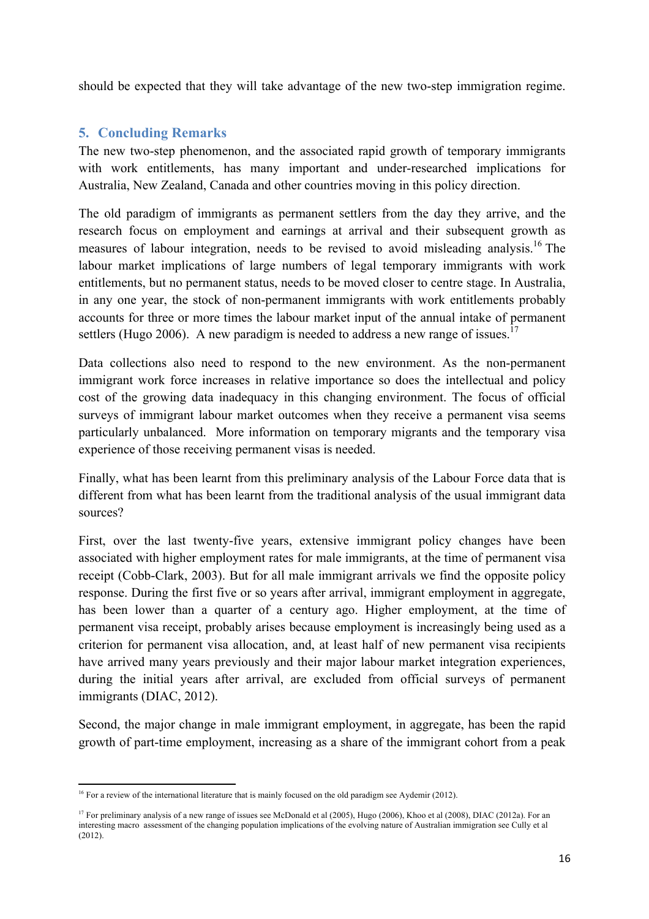should be expected that they will take advantage of the new two-step immigration regime.

## **5. Concluding Remarks**

The new two-step phenomenon, and the associated rapid growth of temporary immigrants with work entitlements, has many important and under-researched implications for Australia, New Zealand, Canada and other countries moving in this policy direction.

The old paradigm of immigrants as permanent settlers from the day they arrive, and the research focus on employment and earnings at arrival and their subsequent growth as measures of labour integration, needs to be revised to avoid misleading analysis.<sup>16</sup> The labour market implications of large numbers of legal temporary immigrants with work entitlements, but no permanent status, needs to be moved closer to centre stage. In Australia, in any one year, the stock of non-permanent immigrants with work entitlements probably accounts for three or more times the labour market input of the annual intake of permanent settlers (Hugo 2006). A new paradigm is needed to address a new range of issues.<sup>17</sup>

Data collections also need to respond to the new environment. As the non-permanent immigrant work force increases in relative importance so does the intellectual and policy cost of the growing data inadequacy in this changing environment. The focus of official surveys of immigrant labour market outcomes when they receive a permanent visa seems particularly unbalanced. More information on temporary migrants and the temporary visa experience of those receiving permanent visas is needed.

Finally, what has been learnt from this preliminary analysis of the Labour Force data that is different from what has been learnt from the traditional analysis of the usual immigrant data sources?

First, over the last twenty-five years, extensive immigrant policy changes have been associated with higher employment rates for male immigrants, at the time of permanent visa receipt (Cobb-Clark, 2003). But for all male immigrant arrivals we find the opposite policy response. During the first five or so years after arrival, immigrant employment in aggregate, has been lower than a quarter of a century ago. Higher employment, at the time of permanent visa receipt, probably arises because employment is increasingly being used as a criterion for permanent visa allocation, and, at least half of new permanent visa recipients have arrived many years previously and their major labour market integration experiences, during the initial years after arrival, are excluded from official surveys of permanent immigrants (DIAC, 2012).

Second, the major change in male immigrant employment, in aggregate, has been the rapid growth of part-time employment, increasing as a share of the immigrant cohort from a peak

 

<sup>&</sup>lt;sup>16</sup> For a review of the international literature that is mainly focused on the old paradigm see Aydemir (2012).

<sup>&</sup>lt;sup>17</sup> For preliminary analysis of a new range of issues see McDonald et al (2005), Hugo (2006), Khoo et al (2008), DIAC (2012a). For an interesting macro assessment of the changing population implications of the evolving nature of Australian immigration see Cully et al (2012).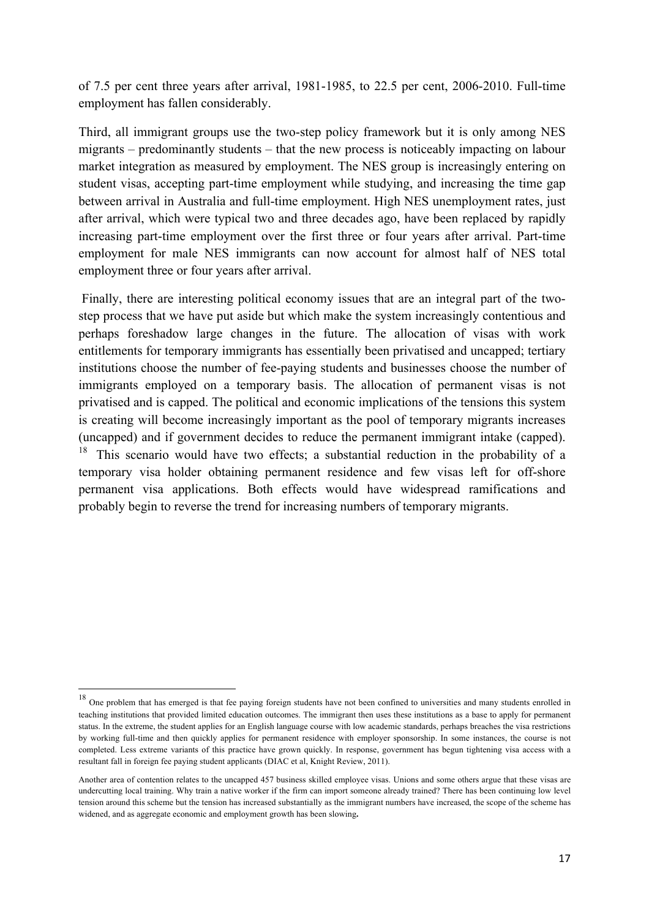of 7.5 per cent three years after arrival, 1981-1985, to 22.5 per cent, 2006-2010. Full-time employment has fallen considerably.

Third, all immigrant groups use the two-step policy framework but it is only among NES migrants – predominantly students – that the new process is noticeably impacting on labour market integration as measured by employment. The NES group is increasingly entering on student visas, accepting part-time employment while studying, and increasing the time gap between arrival in Australia and full-time employment. High NES unemployment rates, just after arrival, which were typical two and three decades ago, have been replaced by rapidly increasing part-time employment over the first three or four years after arrival. Part-time employment for male NES immigrants can now account for almost half of NES total employment three or four years after arrival.

Finally, there are interesting political economy issues that are an integral part of the twostep process that we have put aside but which make the system increasingly contentious and perhaps foreshadow large changes in the future. The allocation of visas with work entitlements for temporary immigrants has essentially been privatised and uncapped; tertiary institutions choose the number of fee-paying students and businesses choose the number of immigrants employed on a temporary basis. The allocation of permanent visas is not privatised and is capped. The political and economic implications of the tensions this system is creating will become increasingly important as the pool of temporary migrants increases (uncapped) and if government decides to reduce the permanent immigrant intake (capped). <sup>18</sup> This scenario would have two effects; a substantial reduction in the probability of a temporary visa holder obtaining permanent residence and few visas left for off-shore permanent visa applications. Both effects would have widespread ramifications and probably begin to reverse the trend for increasing numbers of temporary migrants.

<u> 1989 - Jan Samuel Barbara, político establecido de la provincia de la provincia de la provincia de la provinci</u>

<sup>&</sup>lt;sup>18</sup> One problem that has emerged is that fee paying foreign students have not been confined to universities and many students enrolled in teaching institutions that provided limited education outcomes. The immigrant then uses these institutions as a base to apply for permanent status. In the extreme, the student applies for an English language course with low academic standards, perhaps breaches the visa restrictions by working full-time and then quickly applies for permanent residence with employer sponsorship. In some instances, the course is not completed. Less extreme variants of this practice have grown quickly. In response, government has begun tightening visa access with a resultant fall in foreign fee paying student applicants (DIAC et al, Knight Review, 2011).

Another area of contention relates to the uncapped 457 business skilled employee visas. Unions and some others argue that these visas are undercutting local training. Why train a native worker if the firm can import someone already trained? There has been continuing low level tension around this scheme but the tension has increased substantially as the immigrant numbers have increased, the scope of the scheme has widened, and as aggregate economic and employment growth has been slowing**.**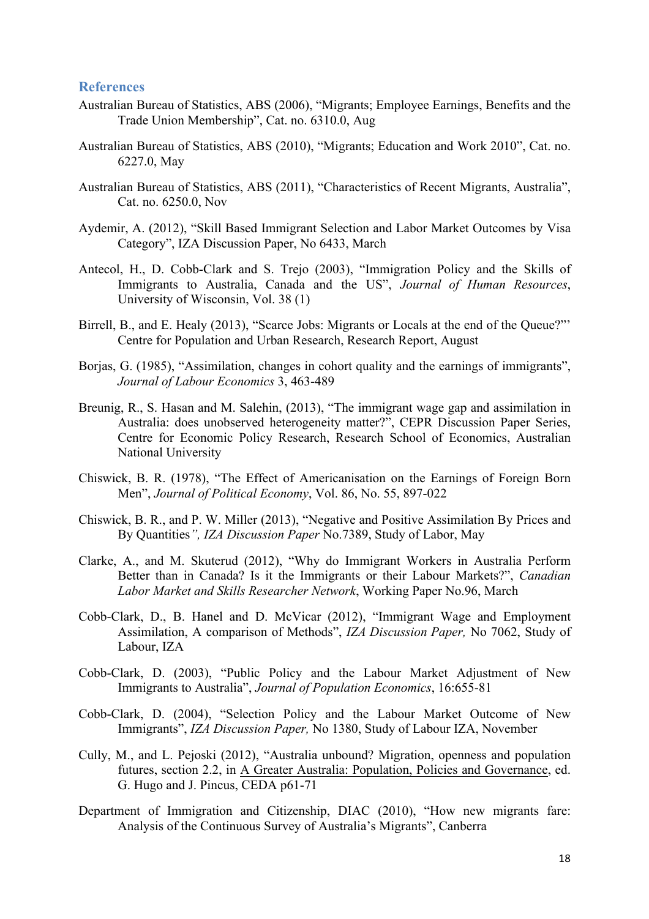#### **References**

- Australian Bureau of Statistics, ABS (2006), "Migrants; Employee Earnings, Benefits and the Trade Union Membership", Cat. no. 6310.0, Aug
- Australian Bureau of Statistics, ABS (2010), "Migrants; Education and Work 2010", Cat. no. 6227.0, May
- Australian Bureau of Statistics, ABS (2011), "Characteristics of Recent Migrants, Australia", Cat. no. 6250.0, Nov
- Aydemir, A. (2012), "Skill Based Immigrant Selection and Labor Market Outcomes by Visa Category", IZA Discussion Paper, No 6433, March
- Antecol, H., D. Cobb-Clark and S. Trejo (2003), "Immigration Policy and the Skills of Immigrants to Australia, Canada and the US", *Journal of Human Resources*, University of Wisconsin, Vol. 38 (1)
- Birrell, B., and E. Healy (2013), "Scarce Jobs: Migrants or Locals at the end of the Queue?"' Centre for Population and Urban Research, Research Report, August
- Borjas, G. (1985), "Assimilation, changes in cohort quality and the earnings of immigrants", *Journal of Labour Economics* 3, 463-489
- Breunig, R., S. Hasan and M. Salehin, (2013), "The immigrant wage gap and assimilation in Australia: does unobserved heterogeneity matter?", CEPR Discussion Paper Series, Centre for Economic Policy Research, Research School of Economics, Australian National University
- Chiswick, B. R. (1978), "The Effect of Americanisation on the Earnings of Foreign Born Men", *Journal of Political Economy*, Vol. 86, No. 55, 897-022
- Chiswick, B. R., and P. W. Miller (2013), "Negative and Positive Assimilation By Prices and By Quantities*", IZA Discussion Paper* No.7389, Study of Labor, May
- Clarke, A., and M. Skuterud (2012), "Why do Immigrant Workers in Australia Perform Better than in Canada? Is it the Immigrants or their Labour Markets?", *Canadian Labor Market and Skills Researcher Network*, Working Paper No.96, March
- Cobb-Clark, D., B. Hanel and D. McVicar (2012), "Immigrant Wage and Employment Assimilation, A comparison of Methods", *IZA Discussion Paper,* No 7062, Study of Labour, IZA
- Cobb-Clark, D. (2003), "Public Policy and the Labour Market Adjustment of New Immigrants to Australia", *Journal of Population Economics*, 16:655-81
- Cobb-Clark, D. (2004), "Selection Policy and the Labour Market Outcome of New Immigrants", *IZA Discussion Paper,* No 1380, Study of Labour IZA, November
- Cully, M., and L. Pejoski (2012), "Australia unbound? Migration, openness and population futures, section 2.2, in A Greater Australia: Population, Policies and Governance, ed. G. Hugo and J. Pincus, CEDA p61-71
- Department of Immigration and Citizenship, DIAC (2010), "How new migrants fare: Analysis of the Continuous Survey of Australia's Migrants", Canberra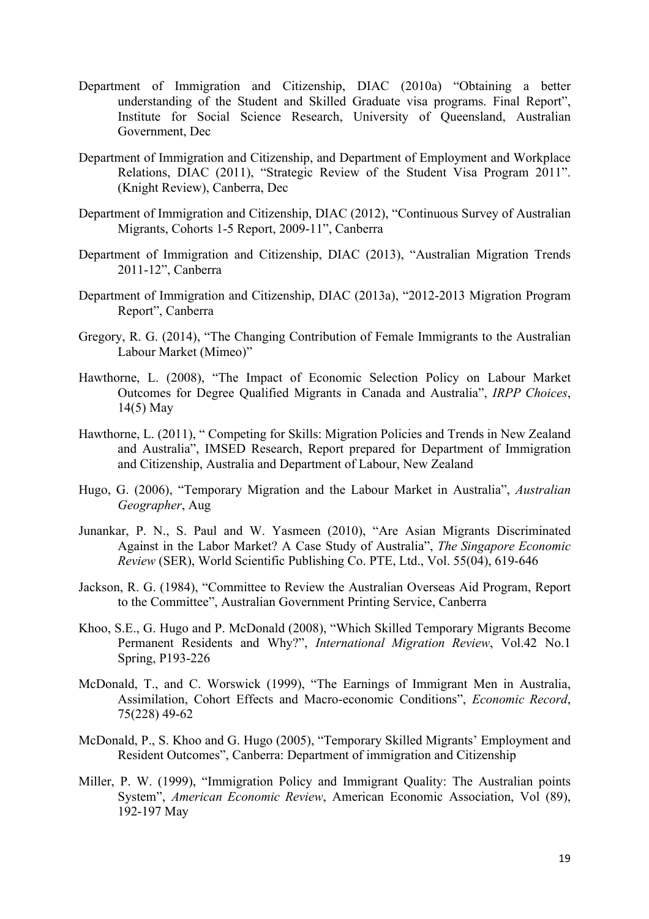- Department of Immigration and Citizenship, DIAC (2010a) "Obtaining a better understanding of the Student and Skilled Graduate visa programs. Final Report", Institute for Social Science Research, University of Queensland, Australian Government, Dec
- Department of Immigration and Citizenship, and Department of Employment and Workplace Relations, DIAC (2011), "Strategic Review of the Student Visa Program 2011". (Knight Review), Canberra, Dec
- Department of Immigration and Citizenship, DIAC (2012), "Continuous Survey of Australian Migrants, Cohorts 1-5 Report, 2009-11", Canberra
- Department of Immigration and Citizenship, DIAC (2013), "Australian Migration Trends 2011-12", Canberra
- Department of Immigration and Citizenship, DIAC (2013a), "2012-2013 Migration Program Report", Canberra
- Gregory, R. G. (2014), "The Changing Contribution of Female Immigrants to the Australian Labour Market (Mimeo)"
- Hawthorne, L. (2008), "The Impact of Economic Selection Policy on Labour Market Outcomes for Degree Qualified Migrants in Canada and Australia", *IRPP Choices*, 14(5) May
- Hawthorne, L. (2011), " Competing for Skills: Migration Policies and Trends in New Zealand and Australia", IMSED Research, Report prepared for Department of Immigration and Citizenship, Australia and Department of Labour, New Zealand
- Hugo, G. (2006), "Temporary Migration and the Labour Market in Australia", *Australian Geographer*, Aug
- Junankar, P. N., S. Paul and W. Yasmeen (2010), "Are Asian Migrants Discriminated Against in the Labor Market? A Case Study of Australia", *The Singapore Economic Review* (SER), World Scientific Publishing Co. PTE, Ltd., Vol. 55(04), 619-646
- Jackson, R. G. (1984), "Committee to Review the Australian Overseas Aid Program, Report to the Committee", Australian Government Printing Service, Canberra
- Khoo, S.E., G. Hugo and P. McDonald (2008), "Which Skilled Temporary Migrants Become Permanent Residents and Why?", *International Migration Review*, Vol.42 No.1 Spring, P193-226
- McDonald, T., and C. Worswick (1999), "The Earnings of Immigrant Men in Australia, Assimilation, Cohort Effects and Macro-economic Conditions", *Economic Record*, 75(228) 49-62
- McDonald, P., S. Khoo and G. Hugo (2005), "Temporary Skilled Migrants' Employment and Resident Outcomes", Canberra: Department of immigration and Citizenship
- Miller, P. W. (1999), "Immigration Policy and Immigrant Quality: The Australian points System", *American Economic Review*, American Economic Association, Vol (89), 192-197 May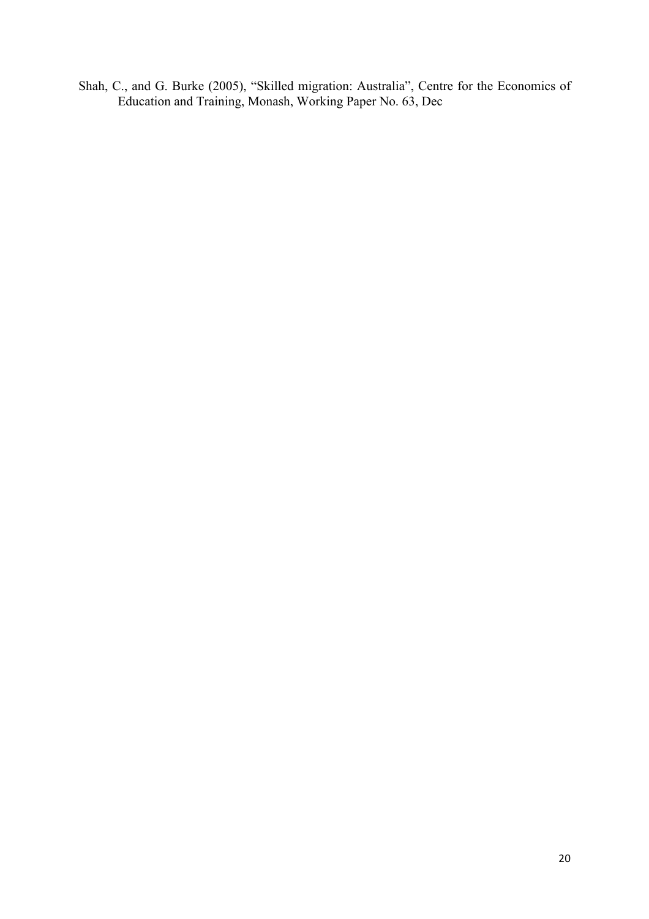Shah, C., and G. Burke (2005), "Skilled migration: Australia", Centre for the Economics of Education and Training, Monash, Working Paper No. 63, Dec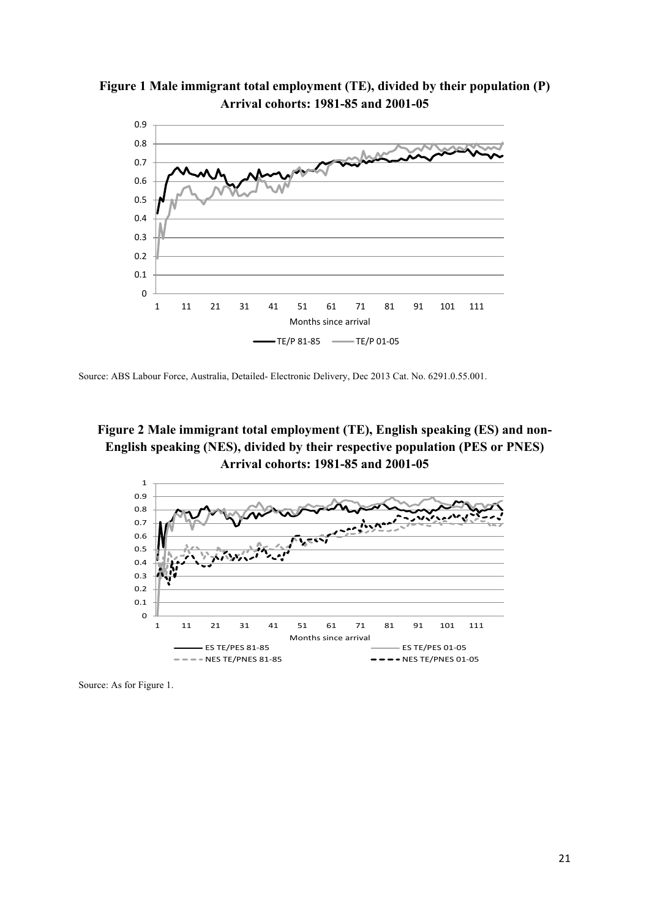



Source: ABS Labour Force, Australia, Detailed- Electronic Delivery, Dec 2013 Cat. No. 6291.0.55.001.

**Figure 2 Male immigrant total employment (TE), English speaking (ES) and non-English speaking (NES), divided by their respective population (PES or PNES) Arrival cohorts: 1981-85 and 2001-05**



Source: As for Figure 1.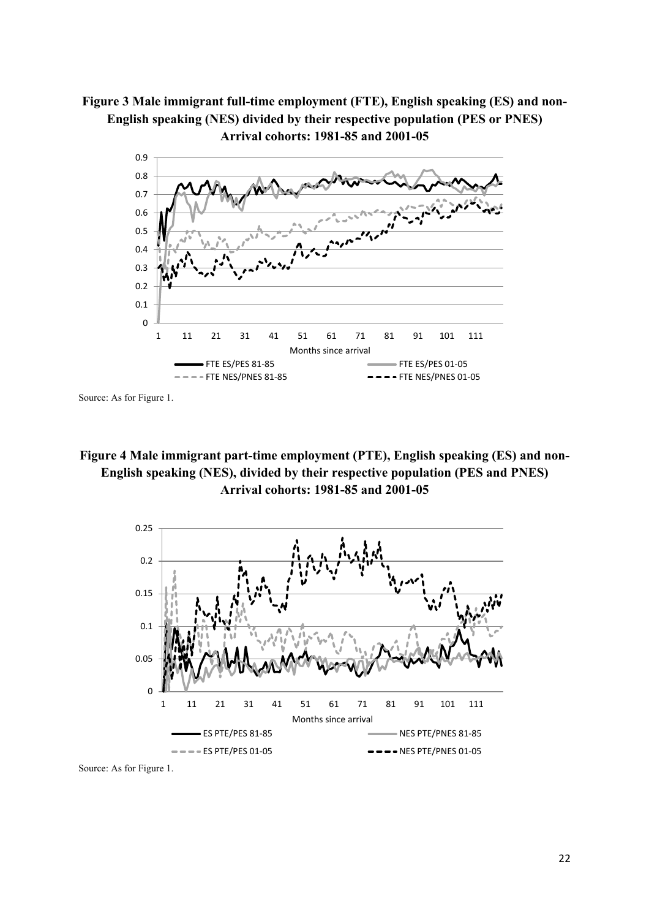**Figure 3 Male immigrant full-time employment (FTE), English speaking (ES) and non-English speaking (NES) divided by their respective population (PES or PNES) Arrival cohorts: 1981-85 and 2001-05**



Source: As for Figure 1.

### **Figure 4 Male immigrant part-time employment (PTE), English speaking (ES) and non-English speaking (NES), divided by their respective population (PES and PNES) Arrival cohorts: 1981-85 and 2001-05**



Source: As for Figure 1.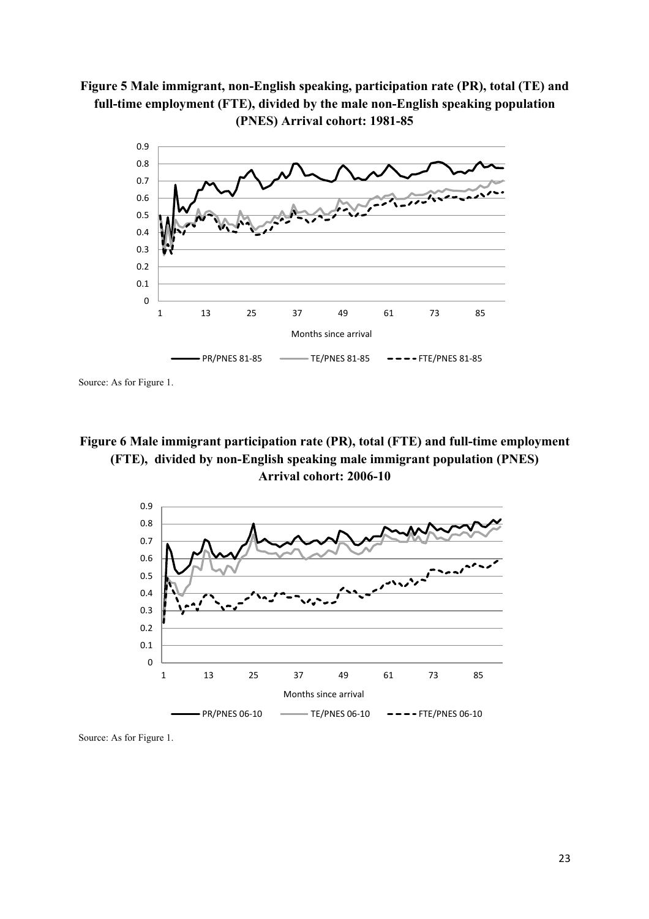**Figure 5 Male immigrant, non-English speaking, participation rate (PR), total (TE) and full-time employment (FTE), divided by the male non-English speaking population (PNES) Arrival cohort: 1981-85**



Source: As for Figure 1.

### **Figure 6 Male immigrant participation rate (PR), total (FTE) and full-time employment (FTE), divided by non-English speaking male immigrant population (PNES) Arrival cohort: 2006-10**



Source: As for Figure 1.